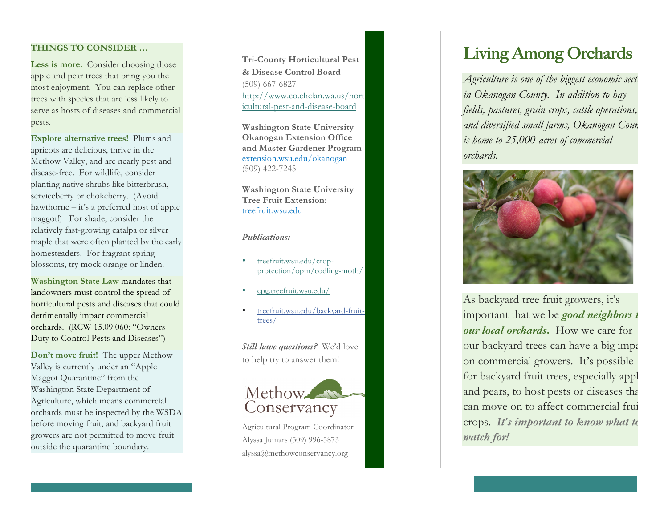# **THINGS TO CONSIDER …**

Less is more. Consider choosing those apple and pear trees that bring you the most enjoyment. You can replace other trees with species that are less likely to serve as hosts of diseases and commercial pests.

**Explore alternative trees!** Plums and apricots are delicious, thrive in the Methow Valley, and are nearly pest and disease -free. For wildlife, consider planting native shrubs like bitterbrush, serviceberry or chokeberry. (Avoid hawthorne – it's a preferred host of apple maggot!) For shade, consider the relatively fast -growing catalpa or silver maple that were often planted by the early homesteaders. For fragrant spring blossoms, try mock orange or linden.

**Washington State Law** mandates that landowners must control the spread of horticultural pests and diseases that could detrimentally impact commercial orchards. (RCW 15.09.060: "Owners Duty to Control Pests and Diseases" )

**Don't move fruit!** The upper Methow Valley is currently under an "Apple Maggot Quarantine" from the Washington State Department of Agriculture, which means commercial orchards must be inspected by the WSDA before moving fruit, and backyard fruit growers are not permitted to move fruit outside the quarantine boundary.

**Tri -County Horticultural Pest & Disease Control Board** (509) 667 -6827 http://www.co.chelan.wa.us/hort icultural -pest -and -disease -board

**Washington State University Okanogan Extension Office and Master Gardener Program** extension.wsu.edu/okanogan (509) 422 -7245

**Washington State University Tree Fruit Extension**: treefruit.wsu.edu

## *Publications:*

- treefruit.wsu.edu/cropprotection/opm/codling -moth/
- cpg.treefruit.wsu.edu/
- treefruit.wsu.edu/backyard-fruittrees/

*Still have questions?* We'd love to help try to answer them !



Agricultural Program Coordinator Alyssa Jumars (509) 996 -5873 alyssa@methowconservancy.org

# Living Among Orchards

*Agriculture is one of the biggest economic sect in Okanogan County. In addition to hay fields, pastures, grain crops, cattle operations, and diversified small farms, Okanogan Cour. is home to 25,000 acres of commercial orchards.* 



As backyard tree fruit growers, it's important that we be *good neighbors t our local orchards* **.** How we care for our backyard trees can have a big impactured on commercial growers. It's possible for backyard fruit trees, especially appl and pears, to host pests or diseases that can move on to affect commercial fruit crops. *It's important to know what to watch for!*